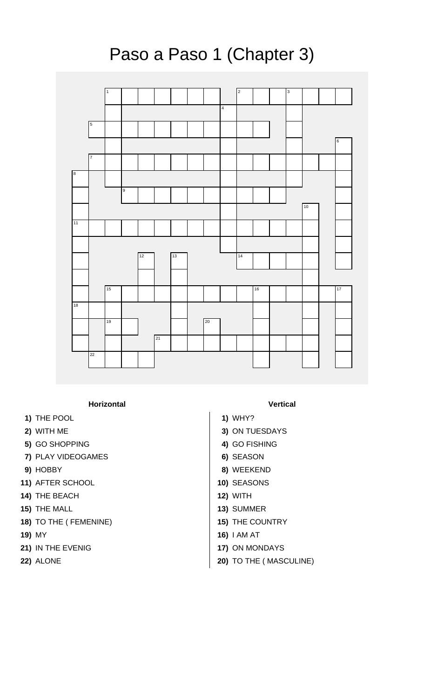

## **Horizontal Vertical**

- **1)** THE POOL **1)** WHY?
- 
- **5)** GO SHOPPING **4)** GO FISHING
- **7)** PLAY VIDEOGAMES **6)** SEASON
- 
- **11)** AFTER SCHOOL **10)** SEASONS
- **14)** THE BEACH **12)** WITH
- 
- **18)** TO THE ( FEMENINE) **15)** THE COUNTRY
- 
- **21)** IN THE EVENIG **17)** ON MONDAYS
- 

- 
- **2)** WITH ME **3)** ON TUESDAYS
	-
	-
- **9)** HOBBY **8)** WEEKEND
	-
	-
- **15)** THE MALL **13)** SUMMER
	-
- **19)** MY **16)** I AM AT
	-
- **22)** ALONE **20)** TO THE ( MASCULINE)